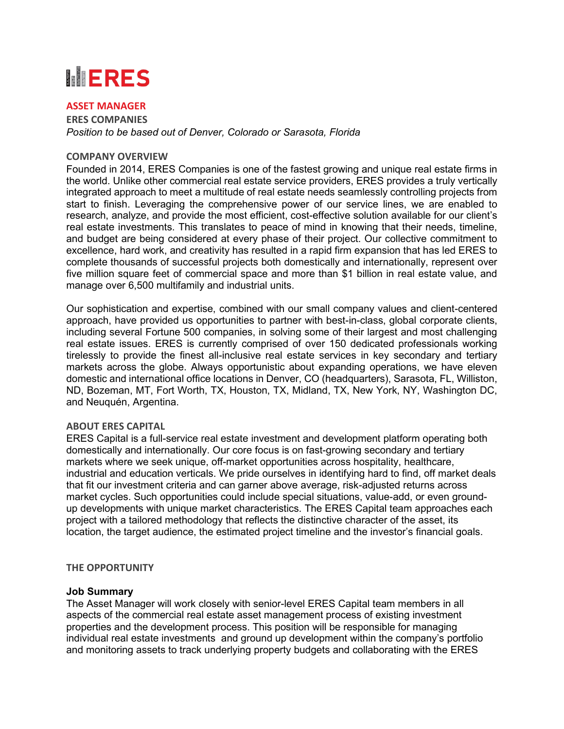# **MERES**

#### **ASSET MANAGER**

**ERES COMPANIES** *Position to be based out of Denver, Colorado or Sarasota, Florida*

#### **COMPANY OVERVIEW**

Founded in 2014, ERES Companies is one of the fastest growing and unique real estate firms in the world. Unlike other commercial real estate service providers, ERES provides a truly vertically integrated approach to meet a multitude of real estate needs seamlessly controlling projects from start to finish. Leveraging the comprehensive power of our service lines, we are enabled to research, analyze, and provide the most efficient, cost-effective solution available for our client's real estate investments. This translates to peace of mind in knowing that their needs, timeline, and budget are being considered at every phase of their project. Our collective commitment to excellence, hard work, and creativity has resulted in a rapid firm expansion that has led ERES to complete thousands of successful projects both domestically and internationally, represent over five million square feet of commercial space and more than \$1 billion in real estate value, and manage over 6,500 multifamily and industrial units.

Our sophistication and expertise, combined with our small company values and client-centered approach, have provided us opportunities to partner with best-in-class, global corporate clients, including several Fortune 500 companies, in solving some of their largest and most challenging real estate issues. ERES is currently comprised of over 150 dedicated professionals working tirelessly to provide the finest all-inclusive real estate services in key secondary and tertiary markets across the globe. Always opportunistic about expanding operations, we have eleven domestic and international office locations in Denver, CO (headquarters), Sarasota, FL, Williston, ND, Bozeman, MT, Fort Worth, TX, Houston, TX, Midland, TX, New York, NY, Washington DC, and Neuquén, Argentina.

#### **ABOUT ERES CAPITAL**

ERES Capital is a full-service real estate investment and development platform operating both domestically and internationally. Our core focus is on fast-growing secondary and tertiary markets where we seek unique, off-market opportunities across hospitality, healthcare, industrial and education verticals. We pride ourselves in identifying hard to find, off market deals that fit our investment criteria and can garner above average, risk-adjusted returns across market cycles. Such opportunities could include special situations, value-add, or even groundup developments with unique market characteristics. The ERES Capital team approaches each project with a tailored methodology that reflects the distinctive character of the asset, its location, the target audience, the estimated project timeline and the investor's financial goals.

#### **THE OPPORTUNITY**

#### **Job Summary**

The Asset Manager will work closely with senior-level ERES Capital team members in all aspects of the commercial real estate asset management process of existing investment properties and the development process. This position will be responsible for managing individual real estate investments and ground up development within the company's portfolio and monitoring assets to track underlying property budgets and collaborating with the ERES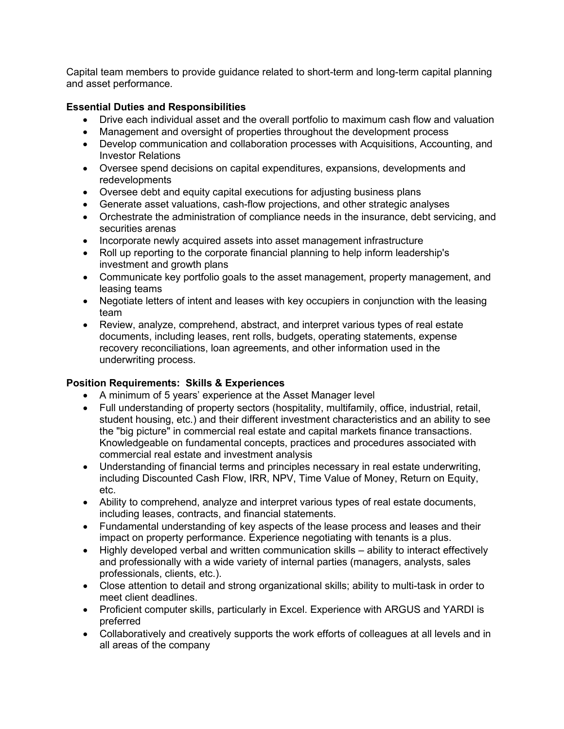Capital team members to provide guidance related to short-term and long-term capital planning and asset performance.

### **Essential Duties and Responsibilities**

- Drive each individual asset and the overall portfolio to maximum cash flow and valuation
- Management and oversight of properties throughout the development process
- Develop communication and collaboration processes with Acquisitions, Accounting, and Investor Relations
- Oversee spend decisions on capital expenditures, expansions, developments and redevelopments
- Oversee debt and equity capital executions for adjusting business plans
- Generate asset valuations, cash-flow projections, and other strategic analyses
- Orchestrate the administration of compliance needs in the insurance, debt servicing, and securities arenas
- Incorporate newly acquired assets into asset management infrastructure
- Roll up reporting to the corporate financial planning to help inform leadership's investment and growth plans
- Communicate key portfolio goals to the asset management, property management, and leasing teams
- Negotiate letters of intent and leases with key occupiers in conjunction with the leasing team
- Review, analyze, comprehend, abstract, and interpret various types of real estate documents, including leases, rent rolls, budgets, operating statements, expense recovery reconciliations, loan agreements, and other information used in the underwriting process.

## **Position Requirements: Skills & Experiences**

- A minimum of 5 years' experience at the Asset Manager level
- Full understanding of property sectors (hospitality, multifamily, office, industrial, retail, student housing, etc.) and their different investment characteristics and an ability to see the "big picture" in commercial real estate and capital markets finance transactions. Knowledgeable on fundamental concepts, practices and procedures associated with commercial real estate and investment analysis
- Understanding of financial terms and principles necessary in real estate underwriting, including Discounted Cash Flow, IRR, NPV, Time Value of Money, Return on Equity, etc.
- Ability to comprehend, analyze and interpret various types of real estate documents, including leases, contracts, and financial statements.
- Fundamental understanding of key aspects of the lease process and leases and their impact on property performance. Experience negotiating with tenants is a plus.
- Highly developed verbal and written communication skills ability to interact effectively and professionally with a wide variety of internal parties (managers, analysts, sales professionals, clients, etc.).
- Close attention to detail and strong organizational skills; ability to multi-task in order to meet client deadlines.
- Proficient computer skills, particularly in Excel. Experience with ARGUS and YARDI is preferred
- Collaboratively and creatively supports the work efforts of colleagues at all levels and in all areas of the company